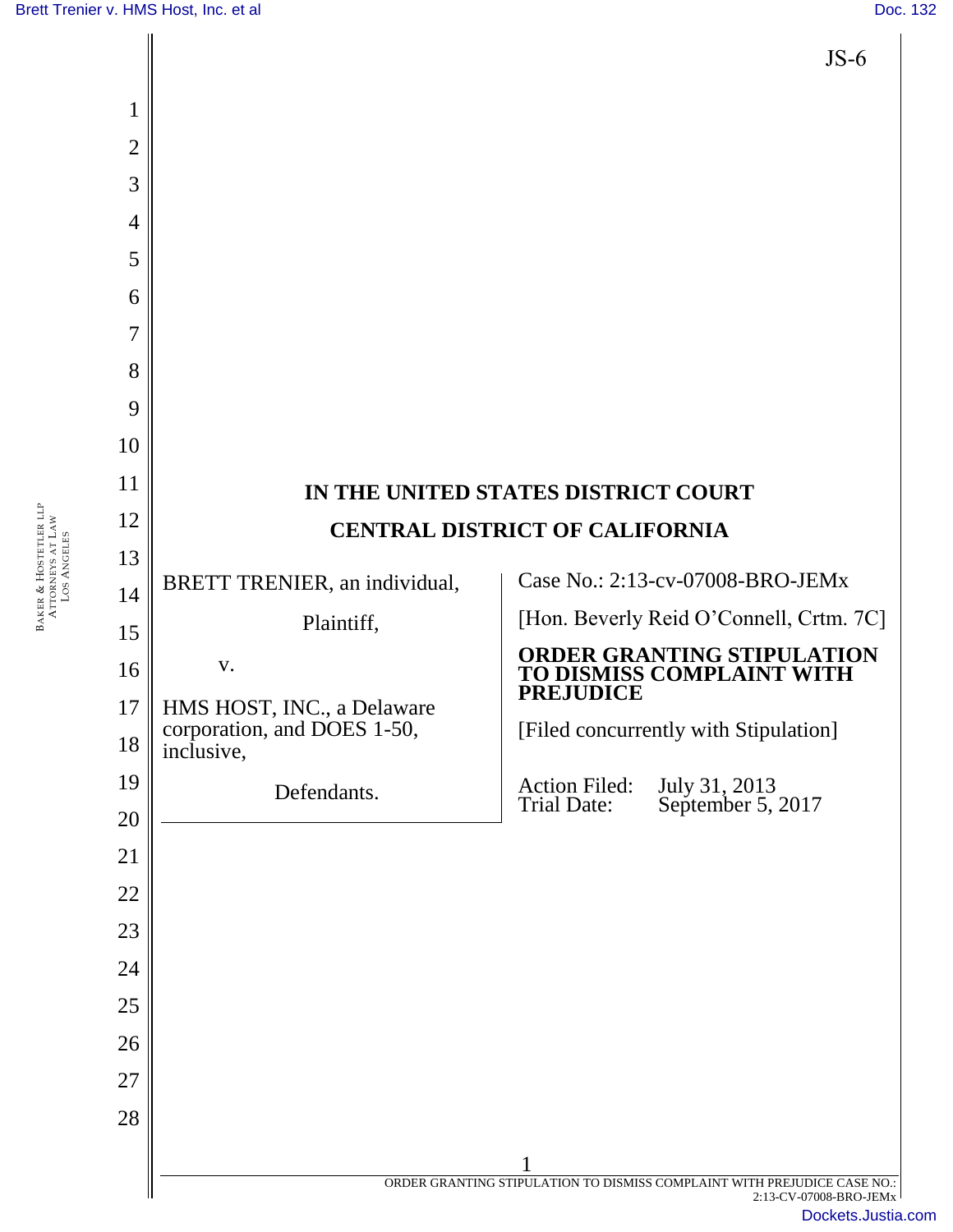BAKER & LOS

HOSTETLER LLP ATTORNEYS AT LAW ANGELES

| $JS-6$                                                                                             |
|----------------------------------------------------------------------------------------------------|
|                                                                                                    |
|                                                                                                    |
|                                                                                                    |
|                                                                                                    |
|                                                                                                    |
|                                                                                                    |
|                                                                                                    |
|                                                                                                    |
|                                                                                                    |
|                                                                                                    |
|                                                                                                    |
|                                                                                                    |
| Case No.: 2:13-cv-07008-BRO-JEMx                                                                   |
| [Hon. Beverly Reid O'Connell, Crtm. 7C]                                                            |
| <b>ORDER GRANTING STIPULATION</b><br>TO DISMISS COMPLAINT WITH                                     |
|                                                                                                    |
|                                                                                                    |
|                                                                                                    |
|                                                                                                    |
|                                                                                                    |
|                                                                                                    |
|                                                                                                    |
|                                                                                                    |
|                                                                                                    |
|                                                                                                    |
|                                                                                                    |
| ORDER GRANTING STIPULATION TO DISMISS COMPLAINT WITH PREJUDICE CASE NO.:<br>2:13-CV-07008-BRO-JEMx |
|                                                                                                    |